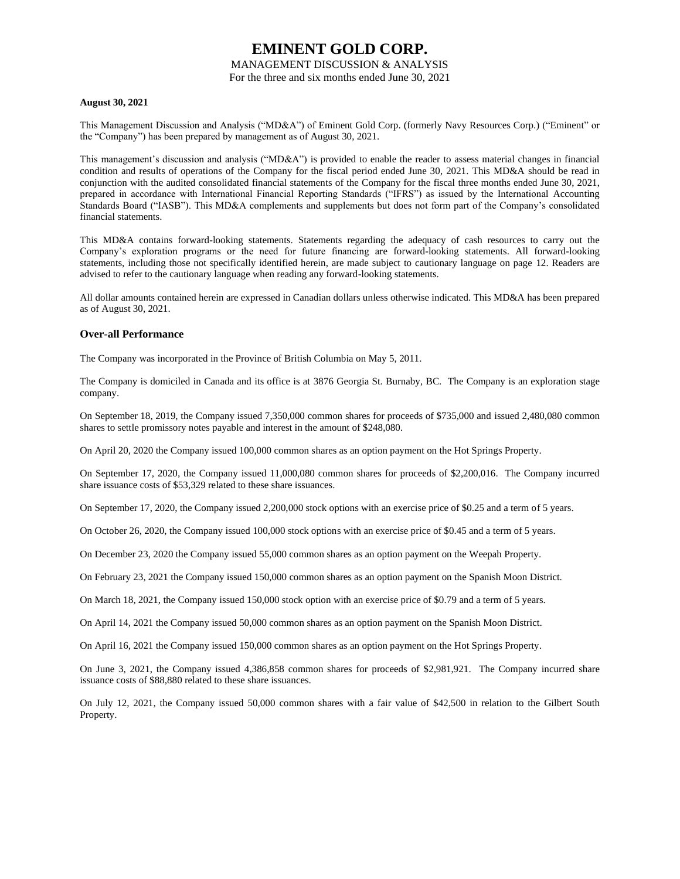### MANAGEMENT DISCUSSION & ANALYSIS

For the three and six months ended June 30, 2021

### **August 30, 2021**

This Management Discussion and Analysis ("MD&A") of Eminent Gold Corp. (formerly Navy Resources Corp.) ("Eminent" or the "Company") has been prepared by management as of August 30, 2021.

This management's discussion and analysis ("MD&A") is provided to enable the reader to assess material changes in financial condition and results of operations of the Company for the fiscal period ended June 30, 2021. This MD&A should be read in conjunction with the audited consolidated financial statements of the Company for the fiscal three months ended June 30, 2021, prepared in accordance with International Financial Reporting Standards ("IFRS") as issued by the International Accounting Standards Board ("IASB"). This MD&A complements and supplements but does not form part of the Company's consolidated financial statements.

This MD&A contains forward-looking statements. Statements regarding the adequacy of cash resources to carry out the Company's exploration programs or the need for future financing are forward-looking statements. All forward-looking statements, including those not specifically identified herein, are made subject to cautionary language on page 12. Readers are advised to refer to the cautionary language when reading any forward-looking statements.

All dollar amounts contained herein are expressed in Canadian dollars unless otherwise indicated. This MD&A has been prepared as of August 30, 2021.

### **Over-all Performance**

The Company was incorporated in the Province of British Columbia on May 5, 2011.

The Company is domiciled in Canada and its office is at 3876 Georgia St. Burnaby, BC. The Company is an exploration stage company.

On September 18, 2019, the Company issued 7,350,000 common shares for proceeds of \$735,000 and issued 2,480,080 common shares to settle promissory notes payable and interest in the amount of \$248,080.

On April 20, 2020 the Company issued 100,000 common shares as an option payment on the Hot Springs Property.

On September 17, 2020, the Company issued 11,000,080 common shares for proceeds of \$2,200,016. The Company incurred share issuance costs of \$53,329 related to these share issuances.

On September 17, 2020, the Company issued 2,200,000 stock options with an exercise price of \$0.25 and a term of 5 years.

On October 26, 2020, the Company issued 100,000 stock options with an exercise price of \$0.45 and a term of 5 years.

On December 23, 2020 the Company issued 55,000 common shares as an option payment on the Weepah Property.

On February 23, 2021 the Company issued 150,000 common shares as an option payment on the Spanish Moon District.

On March 18, 2021, the Company issued 150,000 stock option with an exercise price of \$0.79 and a term of 5 years.

On April 14, 2021 the Company issued 50,000 common shares as an option payment on the Spanish Moon District.

On April 16, 2021 the Company issued 150,000 common shares as an option payment on the Hot Springs Property.

On June 3, 2021, the Company issued 4,386,858 common shares for proceeds of \$2,981,921. The Company incurred share issuance costs of \$88,880 related to these share issuances.

On July 12, 2021, the Company issued 50,000 common shares with a fair value of \$42,500 in relation to the Gilbert South Property.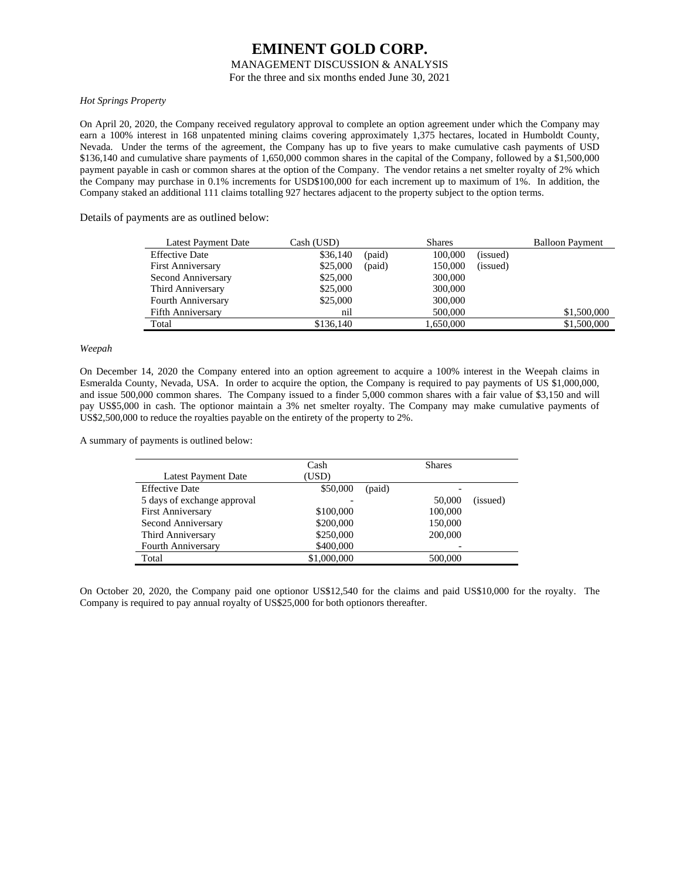### MANAGEMENT DISCUSSION & ANALYSIS

For the three and six months ended June 30, 2021

### *Hot Springs Property*

On April 20, 2020, the Company received regulatory approval to complete an option agreement under which the Company may earn a 100% interest in 168 unpatented mining claims covering approximately 1,375 hectares, located in Humboldt County, Nevada. Under the terms of the agreement, the Company has up to five years to make cumulative cash payments of USD \$136,140 and cumulative share payments of 1,650,000 common shares in the capital of the Company, followed by a \$1,500,000 payment payable in cash or common shares at the option of the Company. The vendor retains a net smelter royalty of 2% which the Company may purchase in 0.1% increments for USD\$100,000 for each increment up to maximum of 1%. In addition, the Company staked an additional 111 claims totalling 927 hectares adjacent to the property subject to the option terms.

Details of payments are as outlined below:

| Latest Payment Date      | Cash (USD) |        | <b>Shares</b> |          | <b>Balloon Payment</b> |
|--------------------------|------------|--------|---------------|----------|------------------------|
| <b>Effective Date</b>    | \$36,140   | (paid) | 100,000       | (issued) |                        |
| <b>First Anniversary</b> | \$25,000   | (paid) | 150,000       | (issued) |                        |
| Second Anniversary       | \$25,000   |        | 300,000       |          |                        |
| Third Anniversary        | \$25,000   |        | 300,000       |          |                        |
| Fourth Anniversary       | \$25,000   |        | 300,000       |          |                        |
| <b>Fifth Anniversary</b> | nil        |        | 500,000       |          | \$1,500,000            |
| Total                    | \$136,140  |        | 1,650,000     |          | \$1,500,000            |

### *Weepah*

On December 14, 2020 the Company entered into an option agreement to acquire a 100% interest in the Weepah claims in Esmeralda County, Nevada, USA. In order to acquire the option, the Company is required to pay payments of US \$1,000,000, and issue 500,000 common shares. The Company issued to a finder 5,000 common shares with a fair value of \$3,150 and will pay US\$5,000 in cash. The optionor maintain a 3% net smelter royalty. The Company may make cumulative payments of US\$2,500,000 to reduce the royalties payable on the entirety of the property to 2%.

A summary of payments is outlined below:

|                             | Cash        |        | <b>Shares</b> |          |
|-----------------------------|-------------|--------|---------------|----------|
| <b>Latest Payment Date</b>  | (USD)       |        |               |          |
| <b>Effective Date</b>       | \$50,000    | (paid) |               |          |
| 5 days of exchange approval |             |        | 50,000        | (issued) |
| <b>First Anniversary</b>    | \$100,000   |        | 100,000       |          |
| Second Anniversary          | \$200,000   |        | 150,000       |          |
| Third Anniversary           | \$250,000   |        | 200,000       |          |
| <b>Fourth Anniversary</b>   | \$400,000   |        |               |          |
| Total                       | \$1,000,000 |        | 500,000       |          |

On October 20, 2020, the Company paid one optionor US\$12,540 for the claims and paid US\$10,000 for the royalty. The Company is required to pay annual royalty of US\$25,000 for both optionors thereafter.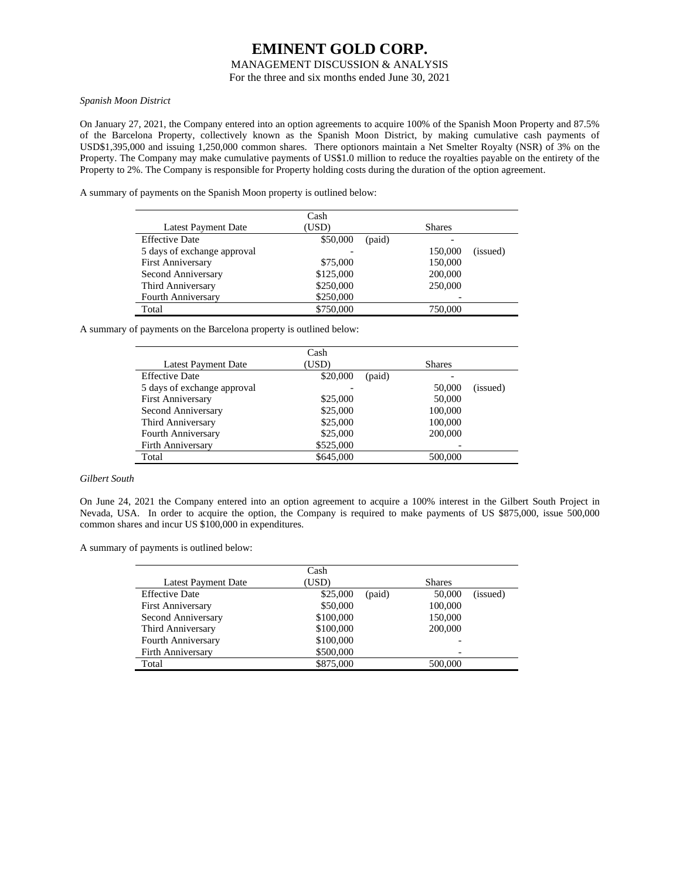### MANAGEMENT DISCUSSION & ANALYSIS

For the three and six months ended June 30, 2021

### *Spanish Moon District*

On January 27, 2021, the Company entered into an option agreements to acquire 100% of the Spanish Moon Property and 87.5% of the Barcelona Property, collectively known as the Spanish Moon District, by making cumulative cash payments of USD\$1,395,000 and issuing 1,250,000 common shares. There optionors maintain a Net Smelter Royalty (NSR) of 3% on the Property. The Company may make cumulative payments of US\$1.0 million to reduce the royalties payable on the entirety of the Property to 2%. The Company is responsible for Property holding costs during the duration of the option agreement.

A summary of payments on the Spanish Moon property is outlined below:

|                             | Cash               |                     |
|-----------------------------|--------------------|---------------------|
| <b>Latest Payment Date</b>  | (USD)              | <b>Shares</b>       |
| <b>Effective Date</b>       | \$50,000<br>(paid) |                     |
| 5 days of exchange approval |                    | 150,000<br>(issued) |
| <b>First Anniversary</b>    | \$75,000           | 150,000             |
| Second Anniversary          | \$125,000          | 200,000             |
| Third Anniversary           | \$250,000          | 250,000             |
| <b>Fourth Anniversary</b>   | \$250,000          |                     |
| Total                       | \$750,000          | 750,000             |

A summary of payments on the Barcelona property is outlined below:

|                             | Cash      |        |               |          |
|-----------------------------|-----------|--------|---------------|----------|
| Latest Payment Date         | (USD)     |        | <b>Shares</b> |          |
| <b>Effective Date</b>       | \$20,000  | (paid) |               |          |
| 5 days of exchange approval |           |        | 50,000        | (issued) |
| <b>First Anniversary</b>    | \$25,000  |        | 50,000        |          |
| Second Anniversary          | \$25,000  |        | 100,000       |          |
| Third Anniversary           | \$25,000  |        | 100,000       |          |
| Fourth Anniversary          | \$25,000  |        | 200,000       |          |
| Firth Anniversary           | \$525,000 |        |               |          |
| Total                       | \$645,000 |        | 500,000       |          |
|                             |           |        |               |          |

### *Gilbert South*

On June 24, 2021 the Company entered into an option agreement to acquire a 100% interest in the Gilbert South Project in Nevada, USA. In order to acquire the option, the Company is required to make payments of US \$875,000, issue 500,000 common shares and incur US \$100,000 in expenditures.

A summary of payments is outlined below:

|                            | Cash      |        |               |          |
|----------------------------|-----------|--------|---------------|----------|
| <b>Latest Payment Date</b> | (USD)     |        | <b>Shares</b> |          |
| <b>Effective Date</b>      | \$25,000  | (paid) | 50,000        | (issued) |
| <b>First Anniversary</b>   | \$50,000  |        | 100,000       |          |
| Second Anniversary         | \$100,000 |        | 150,000       |          |
| Third Anniversary          | \$100,000 |        | 200,000       |          |
| Fourth Anniversary         | \$100,000 |        |               |          |
| <b>Firth Anniversary</b>   | \$500,000 |        |               |          |
| Total                      | \$875,000 |        | 500,000       |          |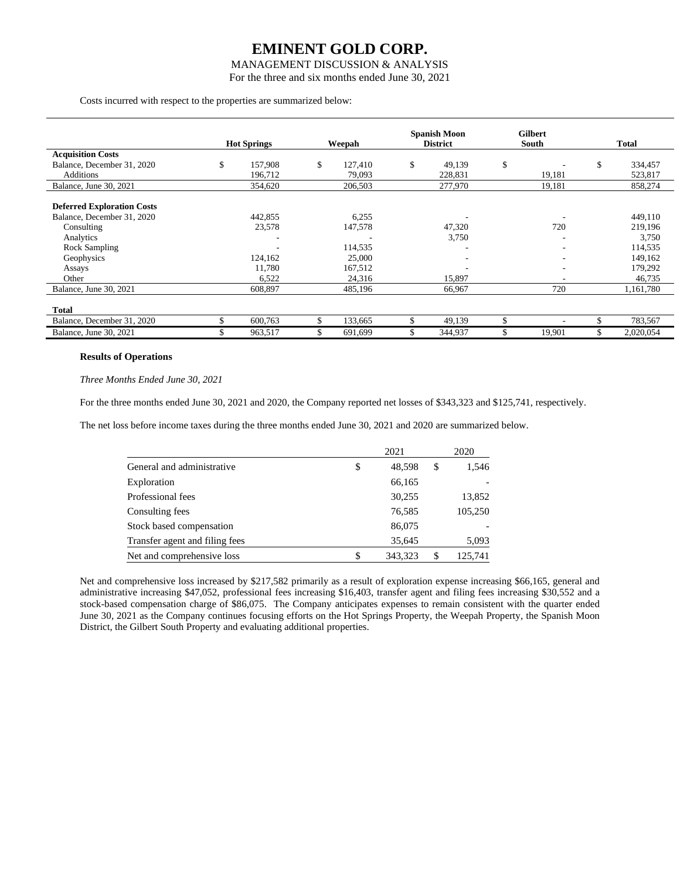### MANAGEMENT DISCUSSION & ANALYSIS

For the three and six months ended June 30, 2021

Costs incurred with respect to the properties are summarized below:

|                                                                                                                                              | <b>Hot Springs</b>                              | Weepah                                                     |    | <b>Spanish Moon</b><br><b>District</b> | <b>Gilbert</b><br>South | <b>Total</b>                                                           |
|----------------------------------------------------------------------------------------------------------------------------------------------|-------------------------------------------------|------------------------------------------------------------|----|----------------------------------------|-------------------------|------------------------------------------------------------------------|
| <b>Acquisition Costs</b>                                                                                                                     |                                                 |                                                            |    |                                        |                         |                                                                        |
| Balance, December 31, 2020                                                                                                                   | \$<br>157,908                                   | \$<br>127,410                                              | \$ | 49,139                                 | \$                      | \$<br>334,457                                                          |
| <b>Additions</b>                                                                                                                             | 196,712                                         | 79,093                                                     |    | 228,831                                | 19,181                  | 523,817                                                                |
| Balance, June 30, 2021                                                                                                                       | 354,620                                         | 206,503                                                    |    | 277,970                                | 19,181                  | 858,274                                                                |
| <b>Deferred Exploration Costs</b><br>Balance, December 31, 2020<br>Consulting<br>Analytics<br>Rock Sampling<br>Geophysics<br>Assays<br>Other | 442,855<br>23,578<br>124,162<br>11,780<br>6,522 | 6,255<br>147,578<br>114,535<br>25,000<br>167,512<br>24,316 |    | 47,320<br>3,750<br>15,897              | 720<br>-                | 449,110<br>219,196<br>3,750<br>114,535<br>149,162<br>179,292<br>46,735 |
| Balance, June 30, 2021                                                                                                                       | 608,897                                         | 485,196                                                    |    | 66,967                                 | 720                     | 1,161,780                                                              |
| <b>Total</b><br>Balance, December 31, 2020                                                                                                   | 600,763                                         | 133,665                                                    |    | 49,139                                 | \$                      | 783,567                                                                |
| Balance, June 30, 2021                                                                                                                       | 963,517                                         | \$<br>691,699                                              | S  | 344,937                                | \$<br>19,901            | \$<br>2,020,054                                                        |

### **Results of Operations**

*Three Months Ended June 30, 2021*

For the three months ended June 30, 2021 and 2020, the Company reported net losses of \$343,323 and \$125,741, respectively.

The net loss before income taxes during the three months ended June 30, 2021 and 2020 are summarized below.

|                                | 2021          |    | 2020    |
|--------------------------------|---------------|----|---------|
| General and administrative     | \$<br>48,598  | \$ | 1,546   |
| Exploration                    | 66,165        |    |         |
| Professional fees              | 30,255        |    | 13,852  |
| Consulting fees                | 76,585        |    | 105,250 |
| Stock based compensation       | 86,075        |    |         |
| Transfer agent and filing fees | 35,645        |    | 5,093   |
| Net and comprehensive loss     | \$<br>343.323 | S  | 125.741 |

Net and comprehensive loss increased by \$217,582 primarily as a result of exploration expense increasing \$66,165, general and administrative increasing \$47,052, professional fees increasing \$16,403, transfer agent and filing fees increasing \$30,552 and a stock-based compensation charge of \$86,075. The Company anticipates expenses to remain consistent with the quarter ended June 30, 2021 as the Company continues focusing efforts on the Hot Springs Property, the Weepah Property, the Spanish Moon District, the Gilbert South Property and evaluating additional properties.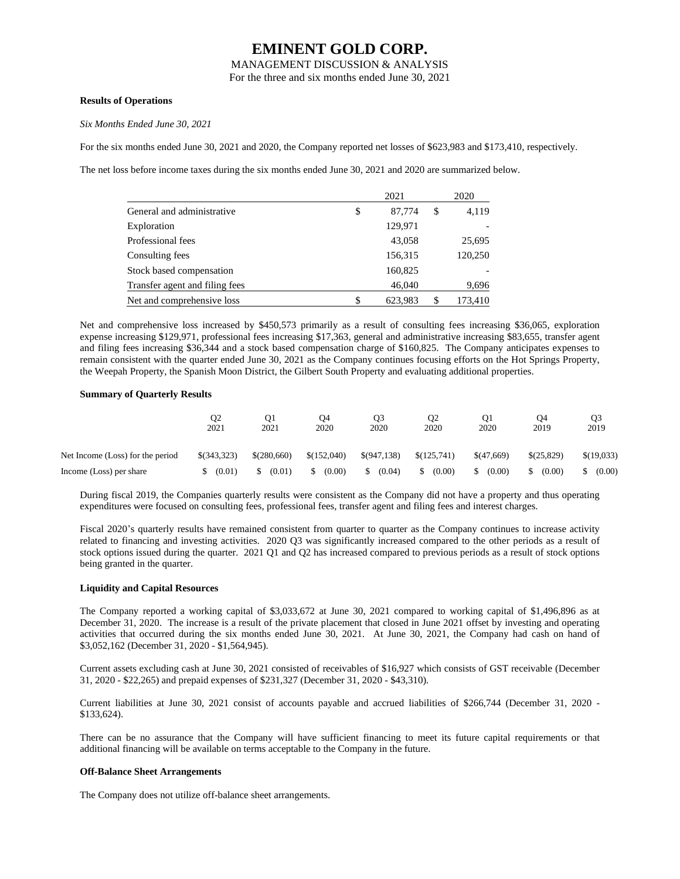MANAGEMENT DISCUSSION & ANALYSIS

For the three and six months ended June 30, 2021

### **Results of Operations**

*Six Months Ended June 30, 2021*

For the six months ended June 30, 2021 and 2020, the Company reported net losses of \$623,983 and \$173,410, respectively.

The net loss before income taxes during the six months ended June 30, 2021 and 2020 are summarized below.

|                                | 2021          |    | 2020    |
|--------------------------------|---------------|----|---------|
| General and administrative     | \$<br>87,774  | \$ | 4,119   |
| Exploration                    | 129,971       |    |         |
| Professional fees              | 43,058        |    | 25,695  |
| Consulting fees                | 156,315       |    | 120,250 |
| Stock based compensation       | 160,825       |    |         |
| Transfer agent and filing fees | 46,040        |    | 9,696   |
| Net and comprehensive loss     | \$<br>623,983 | S  | 173,410 |

Net and comprehensive loss increased by \$450,573 primarily as a result of consulting fees increasing \$36,065, exploration expense increasing \$129,971, professional fees increasing \$17,363, general and administrative increasing \$83,655, transfer agent and filing fees increasing \$36,344 and a stock based compensation charge of \$160,825. The Company anticipates expenses to remain consistent with the quarter ended June 30, 2021 as the Company continues focusing efforts on the Hot Springs Property, the Weepah Property, the Spanish Moon District, the Gilbert South Property and evaluating additional properties.

### **Summary of Quarterly Results**

|                                  | Q2<br>2021    | O1<br>2021  | O4<br>2020  | Q3<br>2020    | O <sub>2</sub><br>2020 | O1<br>2020   | O4<br>2019 | O3<br>2019    |
|----------------------------------|---------------|-------------|-------------|---------------|------------------------|--------------|------------|---------------|
| Net Income (Loss) for the period | $$$ (343,323) | \$(280,660) | \$(152,040) | $\$(947.138)$ | \$(125,741)            | \$(47,669)   | \$(25.829) | \$(19,033)    |
| Income (Loss) per share          | (0.01)        | (0.01)      | (0.00)      | (0.04)<br>S.  | S.<br>(0.00)           | (0.00)<br>S. | (0.00)     | (0.00)<br>\$. |

During fiscal 2019, the Companies quarterly results were consistent as the Company did not have a property and thus operating expenditures were focused on consulting fees, professional fees, transfer agent and filing fees and interest charges.

Fiscal 2020's quarterly results have remained consistent from quarter to quarter as the Company continues to increase activity related to financing and investing activities. 2020 Q3 was significantly increased compared to the other periods as a result of stock options issued during the quarter. 2021 Q1 and Q2 has increased compared to previous periods as a result of stock options being granted in the quarter.

#### **Liquidity and Capital Resources**

The Company reported a working capital of \$3,033,672 at June 30, 2021 compared to working capital of \$1,496,896 as at December 31, 2020. The increase is a result of the private placement that closed in June 2021 offset by investing and operating activities that occurred during the six months ended June 30, 2021. At June 30, 2021, the Company had cash on hand of \$3,052,162 (December 31, 2020 - \$1,564,945).

Current assets excluding cash at June 30, 2021 consisted of receivables of \$16,927 which consists of GST receivable (December 31, 2020 - \$22,265) and prepaid expenses of \$231,327 (December 31, 2020 - \$43,310).

Current liabilities at June 30, 2021 consist of accounts payable and accrued liabilities of \$266,744 (December 31, 2020 - \$133,624).

There can be no assurance that the Company will have sufficient financing to meet its future capital requirements or that additional financing will be available on terms acceptable to the Company in the future.

### **Off-Balance Sheet Arrangements**

The Company does not utilize off-balance sheet arrangements.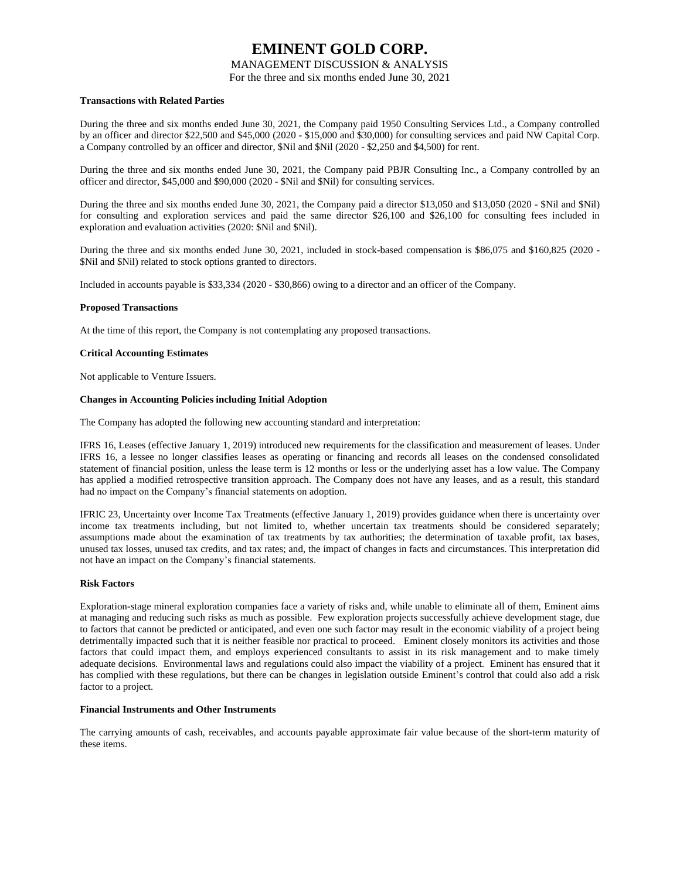### MANAGEMENT DISCUSSION & ANALYSIS

For the three and six months ended June 30, 2021

### **Transactions with Related Parties**

During the three and six months ended June 30, 2021, the Company paid 1950 Consulting Services Ltd., a Company controlled by an officer and director \$22,500 and \$45,000 (2020 - \$15,000 and \$30,000) for consulting services and paid NW Capital Corp. a Company controlled by an officer and director, \$Nil and \$Nil (2020 - \$2,250 and \$4,500) for rent.

During the three and six months ended June 30, 2021, the Company paid PBJR Consulting Inc., a Company controlled by an officer and director, \$45,000 and \$90,000 (2020 - \$Nil and \$Nil) for consulting services.

During the three and six months ended June 30, 2021, the Company paid a director \$13,050 and \$13,050 (2020 - \$Nil and \$Nil) for consulting and exploration services and paid the same director \$26,100 and \$26,100 for consulting fees included in exploration and evaluation activities (2020: \$Nil and \$Nil).

During the three and six months ended June 30, 2021, included in stock-based compensation is \$86,075 and \$160,825 (2020 - \$Nil and \$Nil) related to stock options granted to directors.

Included in accounts payable is \$33,334 (2020 - \$30,866) owing to a director and an officer of the Company.

### **Proposed Transactions**

At the time of this report, the Company is not contemplating any proposed transactions.

### **Critical Accounting Estimates**

Not applicable to Venture Issuers.

### **Changes in Accounting Policies including Initial Adoption**

The Company has adopted the following new accounting standard and interpretation:

IFRS 16, Leases (effective January 1, 2019) introduced new requirements for the classification and measurement of leases. Under IFRS 16, a lessee no longer classifies leases as operating or financing and records all leases on the condensed consolidated statement of financial position, unless the lease term is 12 months or less or the underlying asset has a low value. The Company has applied a modified retrospective transition approach. The Company does not have any leases, and as a result, this standard had no impact on the Company's financial statements on adoption.

IFRIC 23, Uncertainty over Income Tax Treatments (effective January 1, 2019) provides guidance when there is uncertainty over income tax treatments including, but not limited to, whether uncertain tax treatments should be considered separately; assumptions made about the examination of tax treatments by tax authorities; the determination of taxable profit, tax bases, unused tax losses, unused tax credits, and tax rates; and, the impact of changes in facts and circumstances. This interpretation did not have an impact on the Company's financial statements.

#### **Risk Factors**

Exploration-stage mineral exploration companies face a variety of risks and, while unable to eliminate all of them, Eminent aims at managing and reducing such risks as much as possible. Few exploration projects successfully achieve development stage, due to factors that cannot be predicted or anticipated, and even one such factor may result in the economic viability of a project being detrimentally impacted such that it is neither feasible nor practical to proceed. Eminent closely monitors its activities and those factors that could impact them, and employs experienced consultants to assist in its risk management and to make timely adequate decisions. Environmental laws and regulations could also impact the viability of a project. Eminent has ensured that it has complied with these regulations, but there can be changes in legislation outside Eminent's control that could also add a risk factor to a project.

### **Financial Instruments and Other Instruments**

The carrying amounts of cash, receivables, and accounts payable approximate fair value because of the short-term maturity of these items.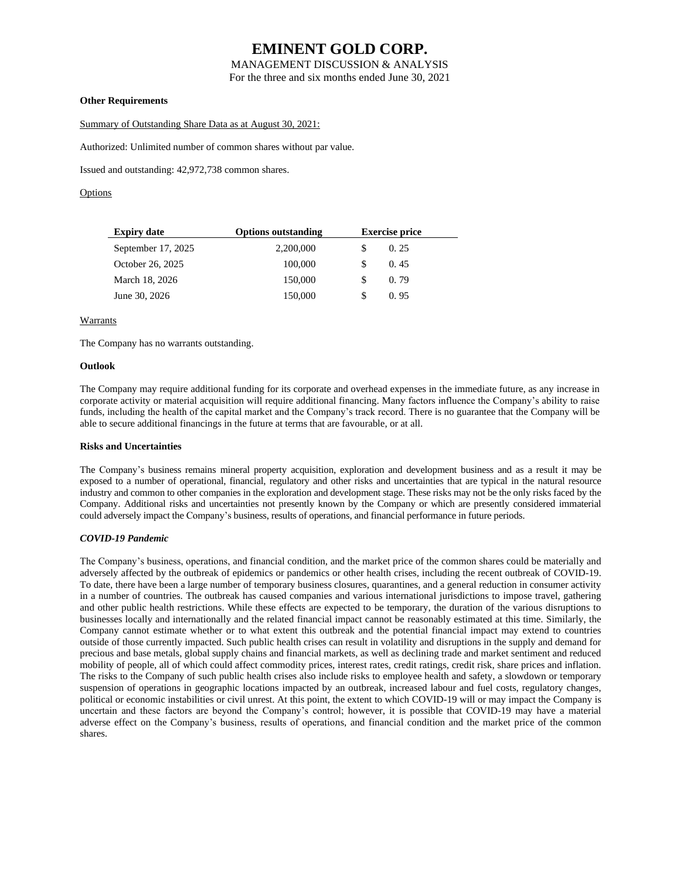MANAGEMENT DISCUSSION & ANALYSIS

For the three and six months ended June 30, 2021

### **Other Requirements**

Summary of Outstanding Share Data as at August 30, 2021:

Authorized: Unlimited number of common shares without par value.

Issued and outstanding: 42,972,738 common shares.

**Options** 

| <b>Expiry date</b> | <b>Options outstanding</b> | <b>Exercise price</b> |
|--------------------|----------------------------|-----------------------|
| September 17, 2025 | 2,200,000                  | 0.25                  |
| October 26, 2025   | 100,000                    | 0.45                  |
| March 18, 2026     | 150,000                    | 0.79                  |
| June 30, 2026      | 150,000                    | 0.95                  |

### Warrants

The Company has no warrants outstanding.

### **Outlook**

The Company may require additional funding for its corporate and overhead expenses in the immediate future, as any increase in corporate activity or material acquisition will require additional financing. Many factors influence the Company's ability to raise funds, including the health of the capital market and the Company's track record. There is no guarantee that the Company will be able to secure additional financings in the future at terms that are favourable, or at all.

#### **Risks and Uncertainties**

The Company's business remains mineral property acquisition, exploration and development business and as a result it may be exposed to a number of operational, financial, regulatory and other risks and uncertainties that are typical in the natural resource industry and common to other companies in the exploration and development stage. These risks may not be the only risks faced by the Company. Additional risks and uncertainties not presently known by the Company or which are presently considered immaterial could adversely impact the Company's business, results of operations, and financial performance in future periods.

#### *COVID-19 Pandemic*

The Company's business, operations, and financial condition, and the market price of the common shares could be materially and adversely affected by the outbreak of epidemics or pandemics or other health crises, including the recent outbreak of COVID-19. To date, there have been a large number of temporary business closures, quarantines, and a general reduction in consumer activity in a number of countries. The outbreak has caused companies and various international jurisdictions to impose travel, gathering and other public health restrictions. While these effects are expected to be temporary, the duration of the various disruptions to businesses locally and internationally and the related financial impact cannot be reasonably estimated at this time. Similarly, the Company cannot estimate whether or to what extent this outbreak and the potential financial impact may extend to countries outside of those currently impacted. Such public health crises can result in volatility and disruptions in the supply and demand for precious and base metals, global supply chains and financial markets, as well as declining trade and market sentiment and reduced mobility of people, all of which could affect commodity prices, interest rates, credit ratings, credit risk, share prices and inflation. The risks to the Company of such public health crises also include risks to employee health and safety, a slowdown or temporary suspension of operations in geographic locations impacted by an outbreak, increased labour and fuel costs, regulatory changes, political or economic instabilities or civil unrest. At this point, the extent to which COVID-19 will or may impact the Company is uncertain and these factors are beyond the Company's control; however, it is possible that COVID-19 may have a material adverse effect on the Company's business, results of operations, and financial condition and the market price of the common shares.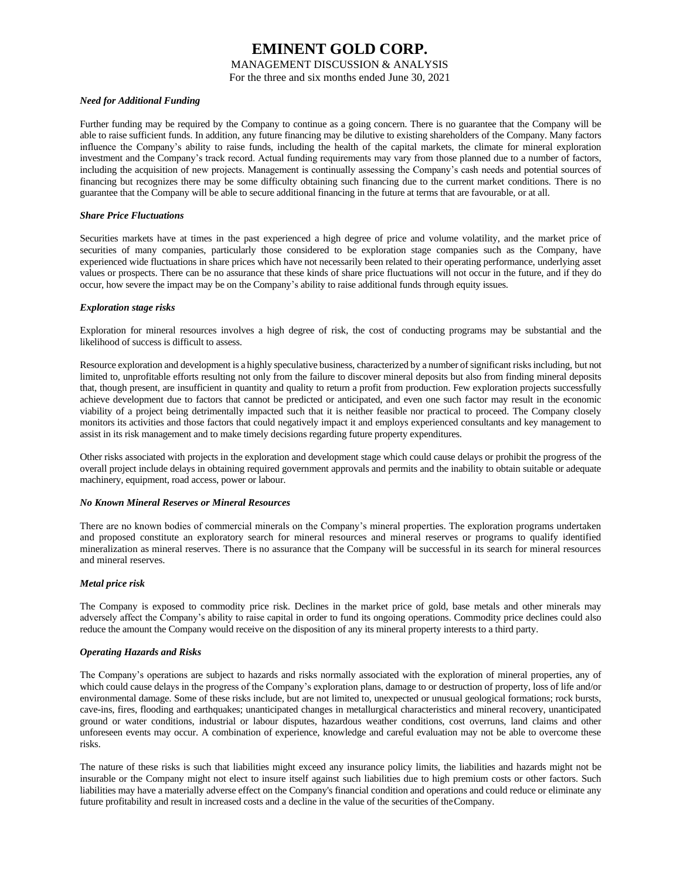### MANAGEMENT DISCUSSION & ANALYSIS

For the three and six months ended June 30, 2021

### *Need for Additional Funding*

Further funding may be required by the Company to continue as a going concern. There is no guarantee that the Company will be able to raise sufficient funds. In addition, any future financing may be dilutive to existing shareholders of the Company. Many factors influence the Company's ability to raise funds, including the health of the capital markets, the climate for mineral exploration investment and the Company's track record. Actual funding requirements may vary from those planned due to a number of factors, including the acquisition of new projects. Management is continually assessing the Company's cash needs and potential sources of financing but recognizes there may be some difficulty obtaining such financing due to the current market conditions. There is no guarantee that the Company will be able to secure additional financing in the future at terms that are favourable, or at all.

### *Share Price Fluctuations*

Securities markets have at times in the past experienced a high degree of price and volume volatility, and the market price of securities of many companies, particularly those considered to be exploration stage companies such as the Company, have experienced wide fluctuations in share prices which have not necessarily been related to their operating performance, underlying asset values or prospects. There can be no assurance that these kinds of share price fluctuations will not occur in the future, and if they do occur, how severe the impact may be on the Company's ability to raise additional funds through equity issues.

### *Exploration stage risks*

Exploration for mineral resources involves a high degree of risk, the cost of conducting programs may be substantial and the likelihood of success is difficult to assess.

Resource exploration and development is a highly speculative business, characterized by a number of significant risks including, but not limited to, unprofitable efforts resulting not only from the failure to discover mineral deposits but also from finding mineral deposits that, though present, are insufficient in quantity and quality to return a profit from production. Few exploration projects successfully achieve development due to factors that cannot be predicted or anticipated, and even one such factor may result in the economic viability of a project being detrimentally impacted such that it is neither feasible nor practical to proceed. The Company closely monitors its activities and those factors that could negatively impact it and employs experienced consultants and key management to assist in its risk management and to make timely decisions regarding future property expenditures.

Other risks associated with projects in the exploration and development stage which could cause delays or prohibit the progress of the overall project include delays in obtaining required government approvals and permits and the inability to obtain suitable or adequate machinery, equipment, road access, power or labour.

#### *No Known Mineral Reserves or Mineral Resources*

There are no known bodies of commercial minerals on the Company's mineral properties. The exploration programs undertaken and proposed constitute an exploratory search for mineral resources and mineral reserves or programs to qualify identified mineralization as mineral reserves. There is no assurance that the Company will be successful in its search for mineral resources and mineral reserves.

### *Metal price risk*

The Company is exposed to commodity price risk. Declines in the market price of gold, base metals and other minerals may adversely affect the Company's ability to raise capital in order to fund its ongoing operations. Commodity price declines could also reduce the amount the Company would receive on the disposition of any its mineral property interests to a third party.

### *Operating Hazards and Risks*

The Company's operations are subject to hazards and risks normally associated with the exploration of mineral properties, any of which could cause delays in the progress of the Company's exploration plans, damage to or destruction of property, loss of life and/or environmental damage. Some of these risks include, but are not limited to, unexpected or unusual geological formations; rock bursts, cave-ins, fires, flooding and earthquakes; unanticipated changes in metallurgical characteristics and mineral recovery, unanticipated ground or water conditions, industrial or labour disputes, hazardous weather conditions, cost overruns, land claims and other unforeseen events may occur. A combination of experience, knowledge and careful evaluation may not be able to overcome these risks.

The nature of these risks is such that liabilities might exceed any insurance policy limits, the liabilities and hazards might not be insurable or the Company might not elect to insure itself against such liabilities due to high premium costs or other factors. Such liabilities may have a materially adverse effect on the Company's financial condition and operations and could reduce or eliminate any future profitability and result in increased costs and a decline in the value of the securities of theCompany.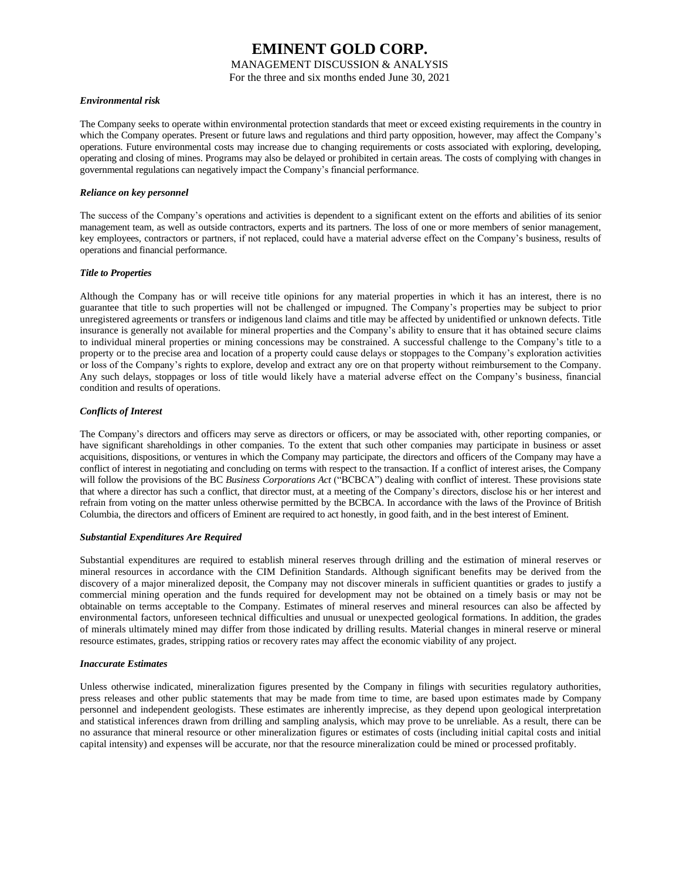### MANAGEMENT DISCUSSION & ANALYSIS

For the three and six months ended June 30, 2021

### *Environmental risk*

The Company seeks to operate within environmental protection standards that meet or exceed existing requirements in the country in which the Company operates. Present or future laws and regulations and third party opposition, however, may affect the Company's operations. Future environmental costs may increase due to changing requirements or costs associated with exploring, developing, operating and closing of mines. Programs may also be delayed or prohibited in certain areas. The costs of complying with changes in governmental regulations can negatively impact the Company's financial performance.

### *Reliance on key personnel*

The success of the Company's operations and activities is dependent to a significant extent on the efforts and abilities of its senior management team, as well as outside contractors, experts and its partners. The loss of one or more members of senior management, key employees, contractors or partners, if not replaced, could have a material adverse effect on the Company's business, results of operations and financial performance.

### *Title to Properties*

Although the Company has or will receive title opinions for any material properties in which it has an interest, there is no guarantee that title to such properties will not be challenged or impugned. The Company's properties may be subject to prior unregistered agreements or transfers or indigenous land claims and title may be affected by unidentified or unknown defects. Title insurance is generally not available for mineral properties and the Company's ability to ensure that it has obtained secure claims to individual mineral properties or mining concessions may be constrained. A successful challenge to the Company's title to a property or to the precise area and location of a property could cause delays or stoppages to the Company's exploration activities or loss of the Company's rights to explore, develop and extract any ore on that property without reimbursement to the Company. Any such delays, stoppages or loss of title would likely have a material adverse effect on the Company's business, financial condition and results of operations.

### *Conflicts of Interest*

The Company's directors and officers may serve as directors or officers, or may be associated with, other reporting companies, or have significant shareholdings in other companies. To the extent that such other companies may participate in business or asset acquisitions, dispositions, or ventures in which the Company may participate, the directors and officers of the Company may have a conflict of interest in negotiating and concluding on terms with respect to the transaction. If a conflict of interest arises, the Company will follow the provisions of the BC *Business Corporations Act* ("BCBCA") dealing with conflict of interest. These provisions state that where a director has such a conflict, that director must, at a meeting of the Company's directors, disclose his or her interest and refrain from voting on the matter unless otherwise permitted by the BCBCA. In accordance with the laws of the Province of British Columbia, the directors and officers of Eminent are required to act honestly, in good faith, and in the best interest of Eminent.

#### *Substantial Expenditures Are Required*

Substantial expenditures are required to establish mineral reserves through drilling and the estimation of mineral reserves or mineral resources in accordance with the CIM Definition Standards. Although significant benefits may be derived from the discovery of a major mineralized deposit, the Company may not discover minerals in sufficient quantities or grades to justify a commercial mining operation and the funds required for development may not be obtained on a timely basis or may not be obtainable on terms acceptable to the Company. Estimates of mineral reserves and mineral resources can also be affected by environmental factors, unforeseen technical difficulties and unusual or unexpected geological formations. In addition, the grades of minerals ultimately mined may differ from those indicated by drilling results. Material changes in mineral reserve or mineral resource estimates, grades, stripping ratios or recovery rates may affect the economic viability of any project.

#### *Inaccurate Estimates*

Unless otherwise indicated, mineralization figures presented by the Company in filings with securities regulatory authorities, press releases and other public statements that may be made from time to time, are based upon estimates made by Company personnel and independent geologists. These estimates are inherently imprecise, as they depend upon geological interpretation and statistical inferences drawn from drilling and sampling analysis, which may prove to be unreliable. As a result, there can be no assurance that mineral resource or other mineralization figures or estimates of costs (including initial capital costs and initial capital intensity) and expenses will be accurate, nor that the resource mineralization could be mined or processed profitably.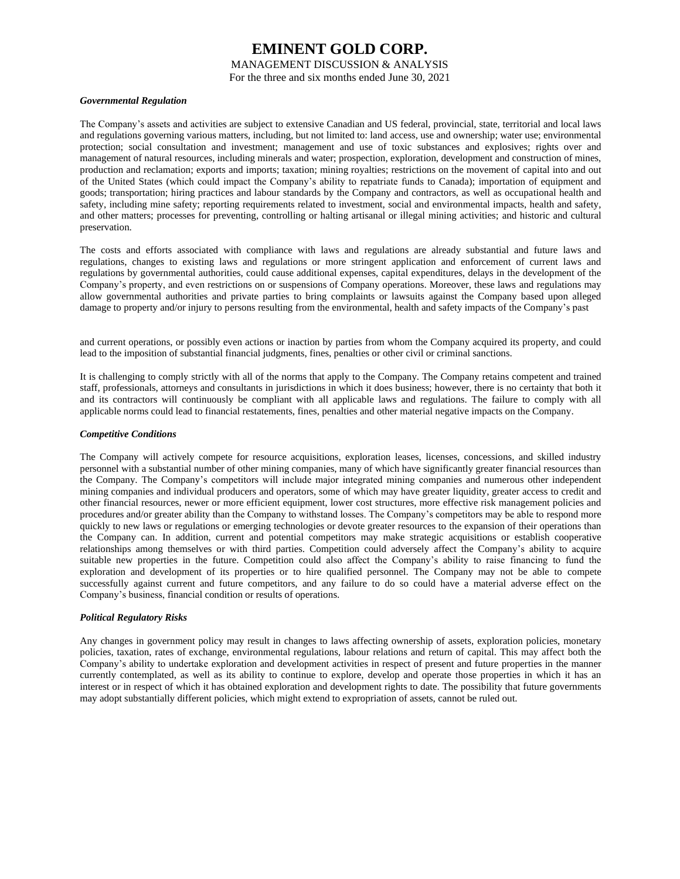MANAGEMENT DISCUSSION & ANALYSIS

For the three and six months ended June 30, 2021

### *Governmental Regulation*

The Company's assets and activities are subject to extensive Canadian and US federal, provincial, state, territorial and local laws and regulations governing various matters, including, but not limited to: land access, use and ownership; water use; environmental protection; social consultation and investment; management and use of toxic substances and explosives; rights over and management of natural resources, including minerals and water; prospection, exploration, development and construction of mines, production and reclamation; exports and imports; taxation; mining royalties; restrictions on the movement of capital into and out of the United States (which could impact the Company's ability to repatriate funds to Canada); importation of equipment and goods; transportation; hiring practices and labour standards by the Company and contractors, as well as occupational health and safety, including mine safety; reporting requirements related to investment, social and environmental impacts, health and safety, and other matters; processes for preventing, controlling or halting artisanal or illegal mining activities; and historic and cultural preservation.

The costs and efforts associated with compliance with laws and regulations are already substantial and future laws and regulations, changes to existing laws and regulations or more stringent application and enforcement of current laws and regulations by governmental authorities, could cause additional expenses, capital expenditures, delays in the development of the Company's property, and even restrictions on or suspensions of Company operations. Moreover, these laws and regulations may allow governmental authorities and private parties to bring complaints or lawsuits against the Company based upon alleged damage to property and/or injury to persons resulting from the environmental, health and safety impacts of the Company's past

and current operations, or possibly even actions or inaction by parties from whom the Company acquired its property, and could lead to the imposition of substantial financial judgments, fines, penalties or other civil or criminal sanctions.

It is challenging to comply strictly with all of the norms that apply to the Company. The Company retains competent and trained staff, professionals, attorneys and consultants in jurisdictions in which it does business; however, there is no certainty that both it and its contractors will continuously be compliant with all applicable laws and regulations. The failure to comply with all applicable norms could lead to financial restatements, fines, penalties and other material negative impacts on the Company.

### *Competitive Conditions*

The Company will actively compete for resource acquisitions, exploration leases, licenses, concessions, and skilled industry personnel with a substantial number of other mining companies, many of which have significantly greater financial resources than the Company. The Company's competitors will include major integrated mining companies and numerous other independent mining companies and individual producers and operators, some of which may have greater liquidity, greater access to credit and other financial resources, newer or more efficient equipment, lower cost structures, more effective risk management policies and procedures and/or greater ability than the Company to withstand losses. The Company's competitors may be able to respond more quickly to new laws or regulations or emerging technologies or devote greater resources to the expansion of their operations than the Company can. In addition, current and potential competitors may make strategic acquisitions or establish cooperative relationships among themselves or with third parties. Competition could adversely affect the Company's ability to acquire suitable new properties in the future. Competition could also affect the Company's ability to raise financing to fund the exploration and development of its properties or to hire qualified personnel. The Company may not be able to compete successfully against current and future competitors, and any failure to do so could have a material adverse effect on the Company's business, financial condition or results of operations.

### *Political Regulatory Risks*

Any changes in government policy may result in changes to laws affecting ownership of assets, exploration policies, monetary policies, taxation, rates of exchange, environmental regulations, labour relations and return of capital. This may affect both the Company's ability to undertake exploration and development activities in respect of present and future properties in the manner currently contemplated, as well as its ability to continue to explore, develop and operate those properties in which it has an interest or in respect of which it has obtained exploration and development rights to date. The possibility that future governments may adopt substantially different policies, which might extend to expropriation of assets, cannot be ruled out.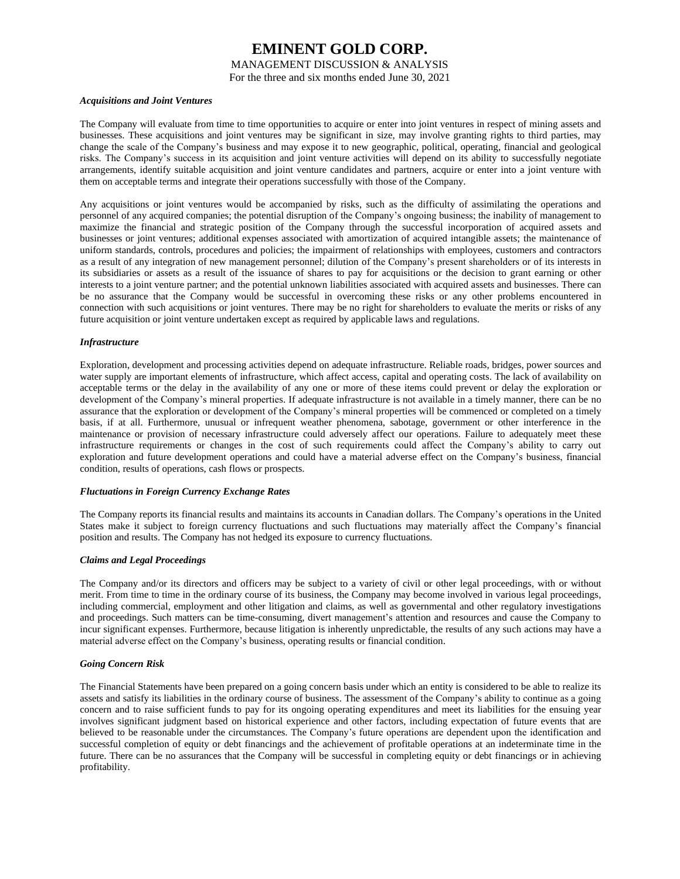MANAGEMENT DISCUSSION & ANALYSIS

For the three and six months ended June 30, 2021

#### *Acquisitions and Joint Ventures*

The Company will evaluate from time to time opportunities to acquire or enter into joint ventures in respect of mining assets and businesses. These acquisitions and joint ventures may be significant in size, may involve granting rights to third parties, may change the scale of the Company's business and may expose it to new geographic, political, operating, financial and geological risks. The Company's success in its acquisition and joint venture activities will depend on its ability to successfully negotiate arrangements, identify suitable acquisition and joint venture candidates and partners, acquire or enter into a joint venture with them on acceptable terms and integrate their operations successfully with those of the Company.

Any acquisitions or joint ventures would be accompanied by risks, such as the difficulty of assimilating the operations and personnel of any acquired companies; the potential disruption of the Company's ongoing business; the inability of management to maximize the financial and strategic position of the Company through the successful incorporation of acquired assets and businesses or joint ventures; additional expenses associated with amortization of acquired intangible assets; the maintenance of uniform standards, controls, procedures and policies; the impairment of relationships with employees, customers and contractors as a result of any integration of new management personnel; dilution of the Company's present shareholders or of its interests in its subsidiaries or assets as a result of the issuance of shares to pay for acquisitions or the decision to grant earning or other interests to a joint venture partner; and the potential unknown liabilities associated with acquired assets and businesses. There can be no assurance that the Company would be successful in overcoming these risks or any other problems encountered in connection with such acquisitions or joint ventures. There may be no right for shareholders to evaluate the merits or risks of any future acquisition or joint venture undertaken except as required by applicable laws and regulations.

### *Infrastructure*

Exploration, development and processing activities depend on adequate infrastructure. Reliable roads, bridges, power sources and water supply are important elements of infrastructure, which affect access, capital and operating costs. The lack of availability on acceptable terms or the delay in the availability of any one or more of these items could prevent or delay the exploration or development of the Company's mineral properties. If adequate infrastructure is not available in a timely manner, there can be no assurance that the exploration or development of the Company's mineral properties will be commenced or completed on a timely basis, if at all. Furthermore, unusual or infrequent weather phenomena, sabotage, government or other interference in the maintenance or provision of necessary infrastructure could adversely affect our operations. Failure to adequately meet these infrastructure requirements or changes in the cost of such requirements could affect the Company's ability to carry out exploration and future development operations and could have a material adverse effect on the Company's business, financial condition, results of operations, cash flows or prospects.

#### *Fluctuations in Foreign Currency Exchange Rates*

The Company reports its financial results and maintains its accounts in Canadian dollars. The Company's operations in the United States make it subject to foreign currency fluctuations and such fluctuations may materially affect the Company's financial position and results. The Company has not hedged its exposure to currency fluctuations.

### *Claims and Legal Proceedings*

The Company and/or its directors and officers may be subject to a variety of civil or other legal proceedings, with or without merit. From time to time in the ordinary course of its business, the Company may become involved in various legal proceedings, including commercial, employment and other litigation and claims, as well as governmental and other regulatory investigations and proceedings. Such matters can be time-consuming, divert management's attention and resources and cause the Company to incur significant expenses. Furthermore, because litigation is inherently unpredictable, the results of any such actions may have a material adverse effect on the Company's business, operating results or financial condition.

#### *Going Concern Risk*

The Financial Statements have been prepared on a going concern basis under which an entity is considered to be able to realize its assets and satisfy its liabilities in the ordinary course of business. The assessment of the Company's ability to continue as a going concern and to raise sufficient funds to pay for its ongoing operating expenditures and meet its liabilities for the ensuing year involves significant judgment based on historical experience and other factors, including expectation of future events that are believed to be reasonable under the circumstances. The Company's future operations are dependent upon the identification and successful completion of equity or debt financings and the achievement of profitable operations at an indeterminate time in the future. There can be no assurances that the Company will be successful in completing equity or debt financings or in achieving profitability.